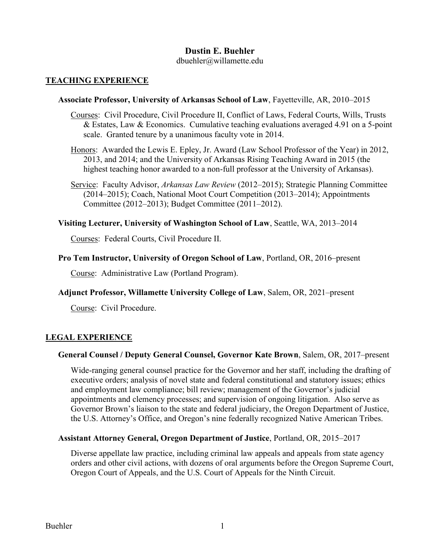# **Dustin E. Buehler**

dbuehler@willamette.edu

### **TEACHING EXPERIENCE**

#### **Associate Professor, University of Arkansas School of Law**, Fayetteville, AR, 2010–2015

- Courses: Civil Procedure, Civil Procedure II, Conflict of Laws, Federal Courts, Wills, Trusts & Estates, Law & Economics. Cumulative teaching evaluations averaged 4.91 on a 5-point scale. Granted tenure by a unanimous faculty vote in 2014.
- Honors: Awarded the Lewis E. Epley, Jr. Award (Law School Professor of the Year) in 2012, 2013, and 2014; and the University of Arkansas Rising Teaching Award in 2015 (the highest teaching honor awarded to a non-full professor at the University of Arkansas).
- Service: Faculty Advisor, *Arkansas Law Review* (2012–2015); Strategic Planning Committee (2014–2015); Coach, National Moot Court Competition (2013–2014); Appointments Committee (2012–2013); Budget Committee (2011–2012).

#### **Visiting Lecturer, University of Washington School of Law**, Seattle, WA, 2013–2014

Courses: Federal Courts, Civil Procedure II.

#### **Pro Tem Instructor, University of Oregon School of Law**, Portland, OR, 2016–present

Course: Administrative Law (Portland Program).

**Adjunct Professor, Willamette University College of Law**, Salem, OR, 2021–present

Course: Civil Procedure.

#### **LEGAL EXPERIENCE**

#### **General Counsel / Deputy General Counsel, Governor Kate Brown**, Salem, OR, 2017–present

Wide-ranging general counsel practice for the Governor and her staff, including the drafting of executive orders; analysis of novel state and federal constitutional and statutory issues; ethics and employment law compliance; bill review; management of the Governor's judicial appointments and clemency processes; and supervision of ongoing litigation. Also serve as Governor Brown's liaison to the state and federal judiciary, the Oregon Department of Justice, the U.S. Attorney's Office, and Oregon's nine federally recognized Native American Tribes.

#### **Assistant Attorney General, Oregon Department of Justice**, Portland, OR, 2015–2017

Diverse appellate law practice, including criminal law appeals and appeals from state agency orders and other civil actions, with dozens of oral arguments before the Oregon Supreme Court, Oregon Court of Appeals, and the U.S. Court of Appeals for the Ninth Circuit.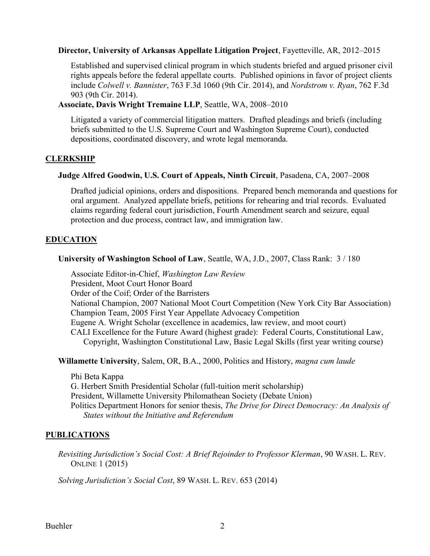#### **Director, University of Arkansas Appellate Litigation Project**, Fayetteville, AR, 2012–2015

Established and supervised clinical program in which students briefed and argued prisoner civil rights appeals before the federal appellate courts. Published opinions in favor of project clients include *Colwell v. Bannister*, 763 F.3d 1060 (9th Cir. 2014), and *Nordstrom v. Ryan*, 762 F.3d 903 (9th Cir. 2014).

**Associate, Davis Wright Tremaine LLP**, Seattle, WA, 2008–2010

Litigated a variety of commercial litigation matters. Drafted pleadings and briefs (including briefs submitted to the U.S. Supreme Court and Washington Supreme Court), conducted depositions, coordinated discovery, and wrote legal memoranda.

## **CLERKSHIP**

### **Judge Alfred Goodwin, U.S. Court of Appeals, Ninth Circuit**, Pasadena, CA, 2007–2008

Drafted judicial opinions, orders and dispositions. Prepared bench memoranda and questions for oral argument. Analyzed appellate briefs, petitions for rehearing and trial records. Evaluated claims regarding federal court jurisdiction, Fourth Amendment search and seizure, equal protection and due process, contract law, and immigration law.

# **EDUCATION**

**University of Washington School of Law**, Seattle, WA, J.D., 2007, Class Rank: 3 / 180

Associate Editor-in-Chief, *Washington Law Review* President, Moot Court Honor Board Order of the Coif; Order of the Barristers National Champion, 2007 National Moot Court Competition (New York City Bar Association) Champion Team, 2005 First Year Appellate Advocacy Competition Eugene A. Wright Scholar (excellence in academics, law review, and moot court) CALI Excellence for the Future Award (highest grade): Federal Courts, Constitutional Law, Copyright, Washington Constitutional Law, Basic Legal Skills (first year writing course)

**Willamette University**, Salem, OR, B.A., 2000, Politics and History, *magna cum laude*

Phi Beta Kappa G. Herbert Smith Presidential Scholar (full-tuition merit scholarship) President, Willamette University Philomathean Society (Debate Union) Politics Department Honors for senior thesis, *The Drive for Direct Democracy: An Analysis of States without the Initiative and Referendum*

## **PUBLICATIONS**

*Revisiting Jurisdiction's Social Cost: A Brief Rejoinder to Professor Klerman*, 90 WASH. L. REV. ONLINE 1 (2015)

*Solving Jurisdiction's Social Cost*, 89 WASH. L. REV. 653 (2014)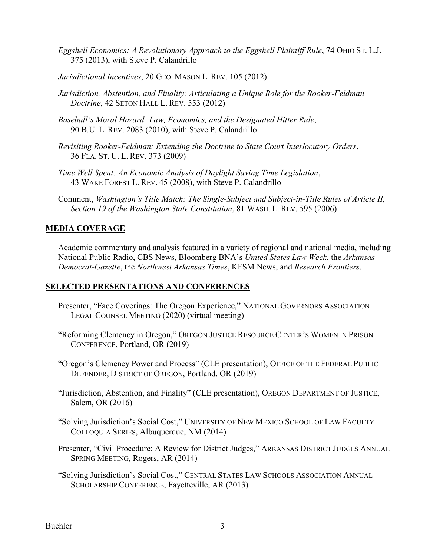- *Eggshell Economics: A Revolutionary Approach to the Eggshell Plaintiff Rule*, 74 OHIO ST. L.J. 375 (2013), with Steve P. Calandrillo
- *Jurisdictional Incentives*, 20 GEO. MASON L. REV. 105 (2012)
- *Jurisdiction, Abstention, and Finality: Articulating a Unique Role for the Rooker-Feldman Doctrine*, 42 SETON HALL L. REV. 553 (2012)
- *Baseball's Moral Hazard: Law, Economics, and the Designated Hitter Rule*, 90 B.U. L. REV. 2083 (2010), with Steve P. Calandrillo
- *Revisiting Rooker-Feldman: Extending the Doctrine to State Court Interlocutory Orders*, 36 FLA. ST. U. L. REV. 373 (2009)
- *Time Well Spent: An Economic Analysis of Daylight Saving Time Legislation*, 43 WAKE FOREST L. REV. 45 (2008), with Steve P. Calandrillo
- Comment, *Washington's Title Match: The Single-Subject and Subject-in-Title Rules of Article II, Section 19 of the Washington State Constitution*, 81 WASH. L. REV. 595 (2006)

## **MEDIA COVERAGE**

Academic commentary and analysis featured in a variety of regional and national media, including National Public Radio, CBS News, Bloomberg BNA's *United States Law Week*, the *Arkansas Democrat-Gazette*, the *Northwest Arkansas Times*, KFSM News, and *Research Frontiers*.

## **SELECTED PRESENTATIONS AND CONFERENCES**

- Presenter, "Face Coverings: The Oregon Experience," NATIONAL GOVERNORS ASSOCIATION LEGAL COUNSEL MEETING (2020) (virtual meeting)
- "Reforming Clemency in Oregon," OREGON JUSTICE RESOURCE CENTER'S WOMEN IN PRISON CONFERENCE, Portland, OR (2019)
- "Oregon's Clemency Power and Process" (CLE presentation), OFFICE OF THE FEDERAL PUBLIC DEFENDER, DISTRICT OF OREGON, Portland, OR (2019)
- "Jurisdiction, Abstention, and Finality" (CLE presentation), OREGON DEPARTMENT OF JUSTICE, Salem, OR (2016)
- "Solving Jurisdiction's Social Cost," UNIVERSITY OF NEW MEXICO SCHOOL OF LAW FACULTY COLLOQUIA SERIES, Albuquerque, NM (2014)
- Presenter, "Civil Procedure: A Review for District Judges," ARKANSAS DISTRICT JUDGES ANNUAL SPRING MEETING, Rogers, AR (2014)
- "Solving Jurisdiction's Social Cost," CENTRAL STATES LAW SCHOOLS ASSOCIATION ANNUAL SCHOLARSHIP CONFERENCE, Fayetteville, AR (2013)